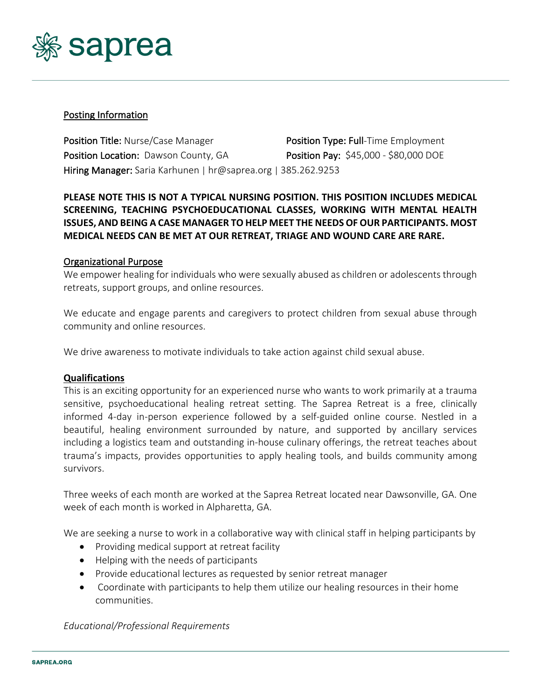

## Posting Information

Position Title: Nurse/Case Manager Position Type: Full-Time Employment Position Location: Dawson County, GA Position Pay: \$45,000 - \$80,000 DOE Hiring Manager: Saria Karhunen | hr@saprea.org | 385.262.9253

# **PLEASE NOTE THIS IS NOT A TYPICAL NURSING POSITION. THIS POSITION INCLUDES MEDICAL SCREENING, TEACHING PSYCHOEDUCATIONAL CLASSES, WORKING WITH MENTAL HEALTH ISSUES, AND BEING A CASE MANAGER TO HELP MEET THE NEEDS OF OUR PARTICIPANTS. MOST MEDICAL NEEDS CAN BE MET AT OUR RETREAT, TRIAGE AND WOUND CARE ARE RARE.**

### Organizational Purpose

We empower healing for individuals who were sexually abused as children or adolescents through retreats, support groups, and online resources.

We educate and engage parents and caregivers to protect children from sexual abuse through community and online resources.

We drive awareness to motivate individuals to take action against child sexual abuse.

#### **Qualifications**

This is an exciting opportunity for an experienced nurse who wants to work primarily at a trauma sensitive, psychoeducational healing retreat setting. The Saprea Retreat is a free, clinically informed 4-day in-person experience followed by a self-guided online course. Nestled in a beautiful, healing environment surrounded by nature, and supported by ancillary services including a logistics team and outstanding in-house culinary offerings, the retreat teaches about trauma's impacts, provides opportunities to apply healing tools, and builds community among survivors.

Three weeks of each month are worked at the Saprea Retreat located near Dawsonville, GA. One week of each month is worked in Alpharetta, GA.

We are seeking a nurse to work in a collaborative way with clinical staff in helping participants by

- Providing medical support at retreat facility
- Helping with the needs of participants
- Provide educational lectures as requested by senior retreat manager
- Coordinate with participants to help them utilize our healing resources in their home communities.

*Educational/Professional Requirements*